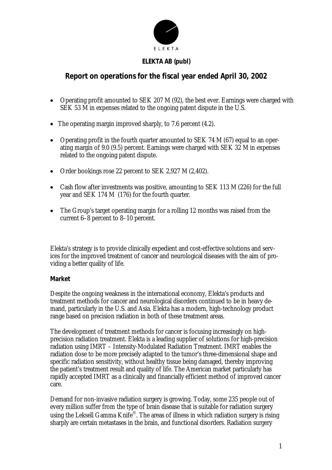

# **ELEKTA AB (publ)**

# **Report on operations for the fiscal year ended April 30, 2002**

- Operating profit amounted to SEK 207 M (92), the best ever. Earnings were charged with SEK 53 M in expenses related to the ongoing patent dispute in the U.S.
- The operating margin improved sharply, to 7.6 percent (4.2).
- Operating profit in the fourth quarter amounted to SEK 74 M (67) equal to an operating margin of 9.0 (9.5) percent. Earnings were charged with SEK 32 M in expenses related to the ongoing patent dispute.
- Order bookings rose 22 percent to SEK 2,927 M (2,402).
- Cash flow after investments was positive, amounting to SEK 113 M (226) for the full year and SEK 174 M (176) for the fourth quarter.
- The Group's target operating margin for a rolling 12 months was raised from the current 6–8 percent to 8–10 percent.

Elekta's strategy is to provide clinically expedient and cost-effective solutions and services for the improved treatment of cancer and neurological diseases with the aim of providing a better quality of life.

# **Market**

Despite the ongoing weakness in the international economy, Elekta's products and treatment methods for cancer and neurological disorders continued to be in heavy demand, particularly in the U.S. and Asia. Elekta has a modern, high-technology product range based on precision radiation in both of these treatment areas.

The development of treatment methods for cancer is focusing increasingly on highprecision radiation treatment. Elekta is a leading supplier of solutions for high-precision radiation using IMRT – Intensity-Modulated Radiation Treatment. IMRT enables the radiation dose to be more precisely adapted to the tumor's three-dimensional shape and specific radiation sensitivity, without healthy tissue being damaged, thereby improving the patient's treatment result and quality of life. The American market particularly has rapidly accepted IMRT as a clinically and financially efficient method of improved cancer care.

Demand for non-invasive radiation surgery is growing. Today, some 235 people out of every million suffer from the type of brain disease that is suitable for radiation surgery using the Leksell Gamma Knife®. The areas of illness in which radiation surgery is rising sharply are certain metastases in the brain, and functional disorders. Radiation surgery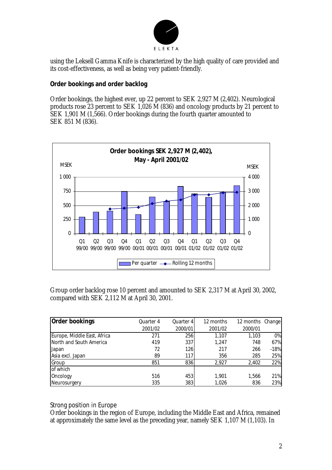

using the Leksell Gamma Knife is characterized by the high quality of care provided and its cost-effectiveness, as well as being very patient-friendly.

# **Order bookings and order backlog**

Order bookings, the highest ever, up 22 percent to SEK 2,927 M (2,402). Neurological products rose 23 percent to SEK 1,026 M (836) and oncology products by 21 percent to SEK 1,901 M (1,566). Order bookings during the fourth quarter amounted to SEK 851 M (836).



Group order backlog rose 10 percent and amounted to SEK 2,317 M at April 30, 2002, compared with SEK 2,112 M at April 30, 2001.

| Order bookings              | Quarter 4<br>2001/02 | Quarter 4<br>2000/01 | 12 months<br>2001/02 | 12 months Change<br>2000/01 |        |
|-----------------------------|----------------------|----------------------|----------------------|-----------------------------|--------|
|                             |                      |                      |                      |                             |        |
| Europe, Middle East, Africa | 271                  | 256                  | 1.107                | 1.103                       | 0%     |
| North and South America     | 419                  | 337                  | 1,247                | 748                         | 67%    |
| Japan                       | 72                   | 126                  | 217                  | 266                         | $-18%$ |
| Asia excl. Japan            | 89                   | 117                  | 356                  | 285                         | 25%    |
| Group                       | 851                  | 836                  | 2,927                | 2,402                       | 22%    |
| of which                    |                      |                      |                      |                             |        |
| Oncology                    | 516                  | 453                  | 1,901                | 1,566                       | 21%    |
| Neurosurgery                | 335                  | 383                  | 1,026                | 836                         | 23%    |

# *Strong position in Europe*

Order bookings in the region of Europe, including the Middle East and Africa, remained at approximately the same level as the preceding year, namely SEK 1,107 M (1,103). In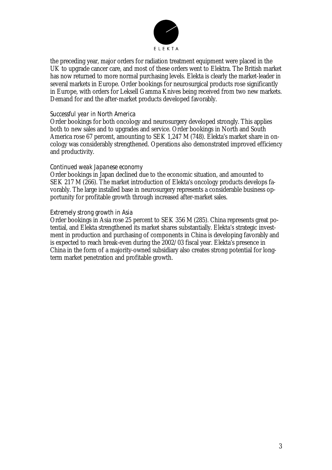

the preceding year, major orders for radiation treatment equipment were placed in the UK to upgrade cancer care, and most of these orders went to Elektra. The British market has now returned to more normal purchasing levels. Elekta is clearly the market-leader in several markets in Europe. Order bookings for neurosurgical products rose significantly in Europe, with orders for Leksell Gamma Knives being received from two new markets. Demand for and the after-market products developed favorably.

### *Successful year in North America*

Order bookings for both oncology and neurosurgery developed strongly. This applies both to new sales and to upgrades and service. Order bookings in North and South America rose 67 percent, amounting to SEK 1,247 M (748). Elekta's market share in oncology was considerably strengthened. Operations also demonstrated improved efficiency and productivity.

### *Continued weak Japanese economy*

Order bookings in Japan declined due to the economic situation, and amounted to SEK 217 M (266). The market introduction of Elekta's oncology products develops favorably. The large installed base in neurosurgery represents a considerable business opportunity for profitable growth through increased after-market sales.

### *Extremely strong growth in Asia*

Order bookings in Asia rose 25 percent to SEK 356 M (285). China represents great potential, and Elekta strengthened its market shares substantially. Elekta's strategic investment in production and purchasing of components in China is developing favorably and is expected to reach break-even during the 2002/03 fiscal year. Elekta's presence in China in the form of a majority-owned subsidiary also creates strong potential for longterm market penetration and profitable growth.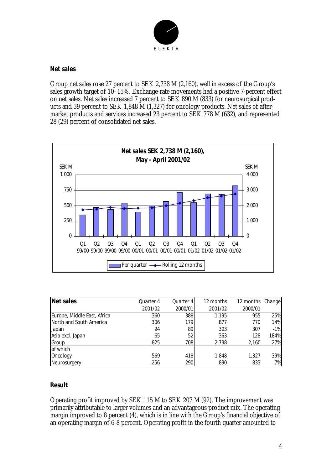

### **Net sales**

Group net sales rose 27 percent to SEK 2,738 M (2,160), well in excess of the Group's sales growth target of 10–15%. Exchange-rate movements had a positive 7-percent effect on net sales. Net sales increased 7 percent to SEK 890 M (833) for neurosurgical products and 39 percent to SEK 1,848 M (1,327) for oncology products. Net sales of aftermarket products and services increased 23 percent to SEK 778 M (632), and represented 28 (29) percent of consolidated net sales.



| Net sales                   | Quarter 4 | Quarter 4  | 12 months | 12 months Change |       |
|-----------------------------|-----------|------------|-----------|------------------|-------|
|                             | 2001/02   | 2000/01    | 2001/02   | 2000/01          |       |
| Europe, Middle East, Africa | 360       | 388        | 1.195     | 955              | 25%   |
| North and South America     | 306       | 1791       | 877       | 770              | 14%   |
| <b>Japan</b>                | 94        | 89         | 303       | 307              | $-1%$ |
| Asia excl. Japan            | 65        | 52         | 363       | 128              | 184%  |
| Group                       | 825       | 708        | 2.738     | 2,160            | 27%   |
| of which                    |           |            |           |                  |       |
| Oncology                    | 569       | 418        | 1,848     | 1.327            | 39%   |
| Neurosurgery                | 256       | <b>290</b> | 890       | 833              | 7%    |

#### **Result**

Operating profit improved by SEK 115 M to SEK 207 M (92). The improvement was primarily attributable to larger volumes and an advantageous product mix. The operating margin improved to 8 percent (4), which is in line with the Group's financial objective of an operating margin of 6-8 percent. Operating profit in the fourth quarter amounted to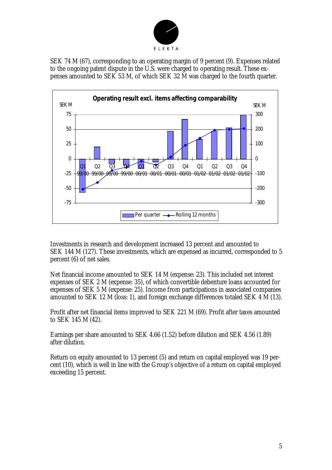

SEK 74 M (67), corresponding to an operating margin of 9 percent (9). Expenses related to the ongoing patent dispute in the U.S. were charged to operating result. These expenses amounted to SEK 53 M, of which SEK 32 M was charged to the fourth quarter.



Investments in research and development increased 13 percent and amounted to SEK 144 M (127). These investments, which are expensed as incurred, corresponded to 5 percent (6) of net sales.

Net financial income amounted to SEK 14 M (expense: 23). This included net interest expenses of SEK 2 M (expense: 35), of which convertible debenture loans accounted for expenses of SEK 5 M (expense: 25). Income from participations in associated companies amounted to SEK 12 M (loss: 1), and foreign exchange differences totaled SEK 4 M (13).

Profit after net financial items improved to SEK 221 M (69). Profit after taxes amounted to SEK 145 M (42).

Earnings per share amounted to SEK 4.66 (1.52) before dilution and SEK 4.56 (1.89) after dilution.

Return on equity amounted to 13 percent (5) and return on capital employed was 19 percent (10), which is well in line with the Group's objective of a return on capital employed exceeding 15 percent.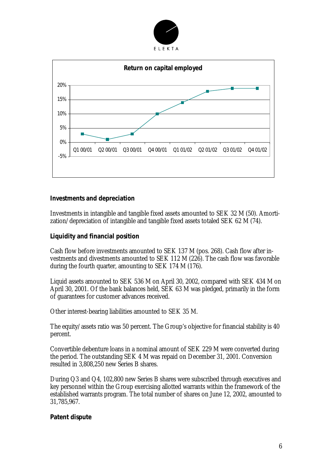



### **Investments and depreciation**

Investments in intangible and tangible fixed assets amounted to SEK 32 M (50). Amortization/depreciation of intangible and tangible fixed assets totaled SEK 62 M (74).

# **Liquidity and financial position**

Cash flow before investments amounted to SEK 137 M (pos. 268). Cash flow after investments and divestments amounted to SEK 112 M (226). The cash flow was favorable during the fourth quarter, amounting to SEK 174 M (176).

Liquid assets amounted to SEK 536 M on April 30, 2002, compared with SEK 434 M on April 30, 2001. Of the bank balances held, SEK 63 M was pledged, primarily in the form of guarantees for customer advances received.

Other interest-bearing liabilities amounted to SEK 35 M.

The equity/assets ratio was 50 percent. The Group's objective for financial stability is 40 percent.

Convertible debenture loans in a nominal amount of SEK 229 M were converted during the period. The outstanding SEK 4 M was repaid on December 31, 2001. Conversion resulted in 3,808,250 new Series B shares.

During Q3 and Q4, 102,800 new Series B shares were subscribed through executives and key personnel within the Group exercising allotted warrants within the framework of the established warrants program. The total number of shares on June 12, 2002, amounted to 31,785,967.

#### **Patent dispute**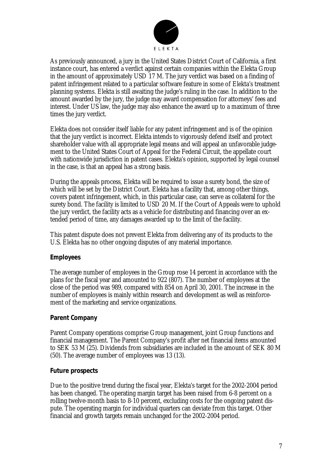

As previously announced, a jury in the United States District Court of California, a first instance court, has entered a verdict against certain companies within the Elekta Group in the amount of approximately USD 17 M. The jury verdict was based on a finding of patent infringement related to a particular software feature in some of Elekta's treatment planning systems. Elekta is still awaiting the judge's ruling in the case. In addition to the amount awarded by the jury, the judge may award compensation for attorneys' fees and interest. Under US law, the judge may also enhance the award up to a maximum of three times the jury verdict.

Elekta does not consider itself liable for any patent infringement and is of the opinion that the jury verdict is incorrect. Elekta intends to vigorously defend itself and protect shareholder value with all appropriate legal means and will appeal an unfavorable judgement to the United States Court of Appeal for the Federal Circuit, the appellate court with nationwide jurisdiction in patent cases. Elekta's opinion, supported by legal counsel in the case, is that an appeal has a strong basis.

During the appeals process, Elekta will be required to issue a surety bond, the size of which will be set by the District Court. Elekta has a facility that, among other things, covers patent infringement, which, in this particular case, can serve as collateral for the surety bond. The facility is limited to USD 20 M. If the Court of Appeals were to uphold the jury verdict, the facility acts as a vehicle for distributing and financing over an extended period of time, any damages awarded up to the limit of the facility.

This patent dispute does not prevent Elekta from delivering any of its products to the U.S. Elekta has no other ongoing disputes of any material importance.

# **Employees**

The average number of employees in the Group rose 14 percent in accordance with the plans for the fiscal year and amounted to 922 (807). The number of employees at the close of the period was 989, compared with 854 on April 30, 2001. The increase in the number of employees is mainly within research and development as well as reinforcement of the marketing and service organizations.

# **Parent Company**

Parent Company operations comprise Group management, joint Group functions and financial management. The Parent Company's profit after net financial items amounted to SEK 53 M (25). Dividends from subsidiaries are included in the amount of SEK 80 M (50). The average number of employees was 13 (13).

#### **Future prospects**

Due to the positive trend during the fiscal year, Elekta's target for the 2002-2004 period has been changed. The operating margin target has been raised from 6-8 percent on a rolling twelve-month basis to 8-10 percent, excluding costs for the ongoing patent dispute. The operating margin for individual quarters can deviate from this target. Other financial and growth targets remain unchanged for the 2002-2004 period.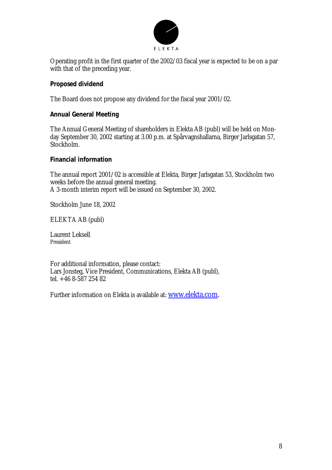

Operating profit in the first quarter of the 2002/03 fiscal year is expected to be on a par with that of the preceding year.

# **Proposed dividend**

The Board does not propose any dividend for the fiscal year 2001/02.

# **Annual General Meeting**

The Annual General Meeting of shareholders in Elekta AB (publ) will be held on Monday September 30, 2002 starting at 3.00 p.m. at Spårvagnshallarna, Birger Jarlsgatan 57, Stockholm.

# **Financial information**

The annual report 2001/02 is accessible at Elekta, Birger Jarlsgatan 53, Stockholm two weeks before the annual general meeting. A 3-month interim report will be issued on September 30, 2002.

Stockholm June 18, 2002

ELEKTA AB (publ)

Laurent Leksell President

For additional information, please contact: Lars Jonsteg, Vice President, Communications, Elekta AB (publ), tel. +46 8-587 254 82

Further information on Elekta is available at: www.elekta.com.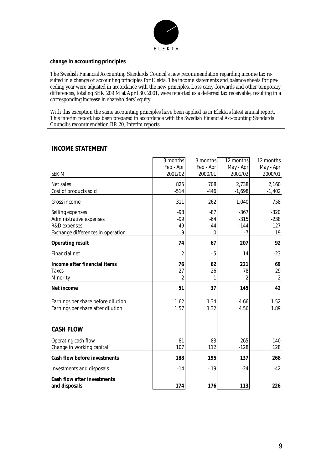

#### **change in accounting principles**

The Swedish Financial Accounting Standards Council's new recommendation regarding income tax resulted in a change of accounting principles for Elekta. The income statements and balance sheets for preceding year were adjusted in accordance with the new principles. Loss carry-forwards and other temporary differences, totaling SEK 209 M at April 30, 2001, were reported as a deferred tax receivable, resulting in a corresponding increase in shareholders' equity.

With this exception the same accounting principles have been applied as in Elekta's latest annual report. This interim report has been prepared in accordance with the Swedish Financial Ac-counting Standards Council's recommendation RR 20, Interim reports.

| <b>SEK M</b>                                                                                     | 3 months<br>Feb - Apr<br>2001/02 | 3 months<br>Feb - Apr<br>2000/01 | 12 months<br>May - Apr<br>2001/02 | 12 months<br>May - Apr<br>2000/01 |
|--------------------------------------------------------------------------------------------------|----------------------------------|----------------------------------|-----------------------------------|-----------------------------------|
| Net sales<br>Cost of products sold                                                               | 825<br>$-514$                    | 708<br>$-446$                    | 2,738<br>$-1,698$                 | 2,160<br>$-1,402$                 |
| Gross income                                                                                     | 311                              | 262                              | 1,040                             | 758                               |
| Selling expenses<br>Administrative expenses<br>R&D expenses<br>Exchange differences in operation | $-98$<br>$-99$<br>$-49$<br>9     | $-87$<br>$-64$<br>$-44$<br>0     | $-367$<br>$-315$<br>$-144$<br>-7  | $-320$<br>$-238$<br>$-127$<br>19  |
| <b>Operating result</b>                                                                          | 74                               | 67                               | 207                               | 92                                |
| Financial net                                                                                    | 2                                | $-5$                             | 14                                | $-23$                             |
| Income after financial items<br><b>Taxes</b><br>Minority                                         | 76<br>$-27$<br>2                 | 62<br>$-26$<br>1                 | 221<br>$-78$<br>2                 | 69<br>$-29$<br>$\overline{2}$     |
| Net income                                                                                       | 51                               | 37                               | 145                               | 42                                |
| Earnings per share before dilution<br>Earnings per share after dilution                          | 1.62<br>1.57                     | 1.34<br>1.32                     | 4.66<br>4.56                      | 1.52<br>1.89                      |
| <b>CASH FLOW</b>                                                                                 |                                  |                                  |                                   |                                   |
| Operating cash flow<br>Change in working capital                                                 | 81<br>107                        | 83<br>112                        | 265<br>$-128$                     | 140<br>128                        |
| <b>Cash flow before investments</b>                                                              | 188                              | 195                              | 137                               | 268                               |
| Investments and disposals                                                                        | $-14$                            | $-19$                            | $-24$                             | $-42$                             |
| <b>Cash flow after investments</b><br>and disposals                                              | 174                              | 176                              | 113                               | 226                               |

#### **INCOME STATEMENT**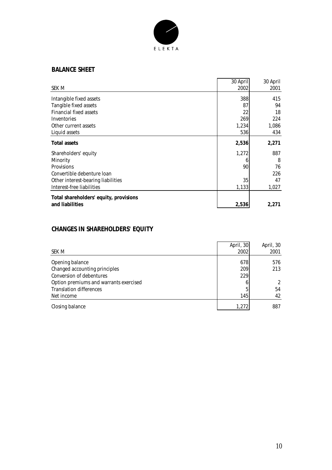

### **BALANCE SHEET**

|                                        | 30 April | 30 April |
|----------------------------------------|----------|----------|
| SEK M                                  | 2002     | 2001     |
| Intangible fixed assets                | 388      | 415      |
| Tangible fixed assets                  | 87       | 94       |
| <b>Financial fixed assets</b>          | 22       | 18       |
| Inventories                            | 269      | 224      |
| Other current assets                   | 1,234    | 1,086    |
| Liquid assets                          | 536      | 434      |
| <b>Total assets</b>                    | 2,536    | 2,271    |
| Shareholders' equity                   | 1,272    | 887      |
| Minority                               | 6        | 8        |
| <b>Provisions</b>                      | 90       | 76       |
| Convertible debenture loan             |          | 226      |
| Other interest-bearing liabilities     | 35       | 47       |
| Interest-free liabilities              | 1,133    | 1,027    |
| Total shareholders' equity, provisions |          |          |
| and liabilities                        | 2,536    | 2,271    |

### **CHANGES IN SHAREHOLDERS' EQUITY**

| SEK M                                  | April, 30<br>2002 | April, 30<br>2001 |
|----------------------------------------|-------------------|-------------------|
| Opening balance                        | 678               | 576               |
| Changed accounting principles          | 209               | 213               |
| <b>Conversion of debentures</b>        | 229               |                   |
| Option premiums and warrants exercised |                   | $\mathcal{L}$     |
| <b>Translation differences</b>         |                   | 54                |
| Net income                             | 145               | 42                |
| Closing balance                        | 1,272             | 887               |